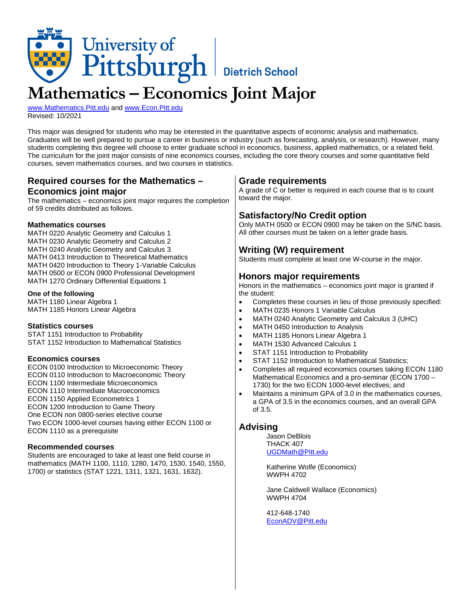

# **Mathematics – Economics Joint Major**

[www.Mathematics.Pitt.edu](http://www.mathematics.pitt.edu/) and [www.Econ.Pitt.edu](http://www.econ.pitt.edu/) Revised: 10/2021

This major was designed for students who may be interested in the quantitative aspects of economic analysis and mathematics. Graduates will be well prepared to pursue a career in business or industry (such as forecasting, analysis, or research). However, many students completing this degree will choose to enter graduate school in economics, business, applied mathematics, or a related field. The curriculum for the joint major consists of nine economics courses, including the core theory courses and some quantitative field courses, seven mathematics courses, and two courses in statistics.

## **Required courses for the Mathematics – Economics joint major**

The mathematics – economics joint major requires the completion of 59 credits distributed as follows.

#### **Mathematics courses**

MATH 0220 Analytic Geometry and Calculus 1 MATH 0230 Analytic Geometry and Calculus 2 MATH 0240 Analytic Geometry and Calculus 3 MATH 0413 Introduction to Theoretical Mathematics MATH 0420 Introduction to Theory 1-Variable Calculus MATH 0500 or ECON 0900 Professional Development MATH 1270 Ordinary Differential Equations 1

#### **One of the following**

MATH 1180 Linear Algebra 1 MATH 1185 Honors Linear Algebra

#### **Statistics courses**

STAT 1151 Introduction to Probability STAT 1152 Introduction to Mathematical Statistics

#### **Economics courses**

ECON 0100 Introduction to Microeconomic Theory ECON 0110 Introduction to Macroeconomic Theory ECON 1100 Intermediate Microeconomics ECON 1110 Intermediate Macroeconomics ECON 1150 Applied Econometrics 1 ECON 1200 Introduction to Game Theory One ECON non 0800-series elective course Two ECON 1000-level courses having either ECON 1100 or ECON 1110 as a prerequisite

#### **Recommended courses**

Students are encouraged to take at least one field course in mathematics (MATH 1100, 1110, 1280, 1470, 1530, 1540, 1550, 1700) or statistics (STAT 1221, 1311, 1321, 1631, 1632).

## **Grade requirements**

A grade of C or better is required in each course that is to count toward the major.

## **Satisfactory/No Credit option**

Only MATH 0500 or ECON 0900 may be taken on the S/NC basis. All other courses must be taken on a letter grade basis.

## **Writing (W) requirement**

Students must complete at least one W-course in the major.

## **Honors major requirements**

Honors in the mathematics – economics joint major is granted if the student:

- Completes these courses in lieu of those previously specified:
- MATH 0235 Honors 1 Variable Calculus
- MATH 0240 Analytic Geometry and Calculus 3 (UHC)
- MATH 0450 Introduction to Analysis
- MATH 1185 Honors Linear Algebra 1
- MATH 1530 Advanced Calculus 1
- STAT 1151 Introduction to Probability
- STAT 1152 Introduction to Mathematical Statistics;
- Completes all required economics courses taking ECON 1180 Mathematical Economics and a pro-seminar (ECON 1700 – 1730) for the two ECON 1000-level electives; and
- Maintains a minimum GPA of 3.0 in the mathematics courses, a GPA of 3.5 in the economics courses, and an overall GPA of 3.5.

#### **Advising**

Jason DeBlois THACK 407 [UGDMath@Pitt.edu](mailto:ugdmath@pitt.edu)

Katherine Wolfe (Economics) WWPH 4702

Jane Caldwell Wallace (Economics) WWPH 4704

412-648-1740 [EconADV@Pitt.edu](mailto:econadv@pitt.edu)